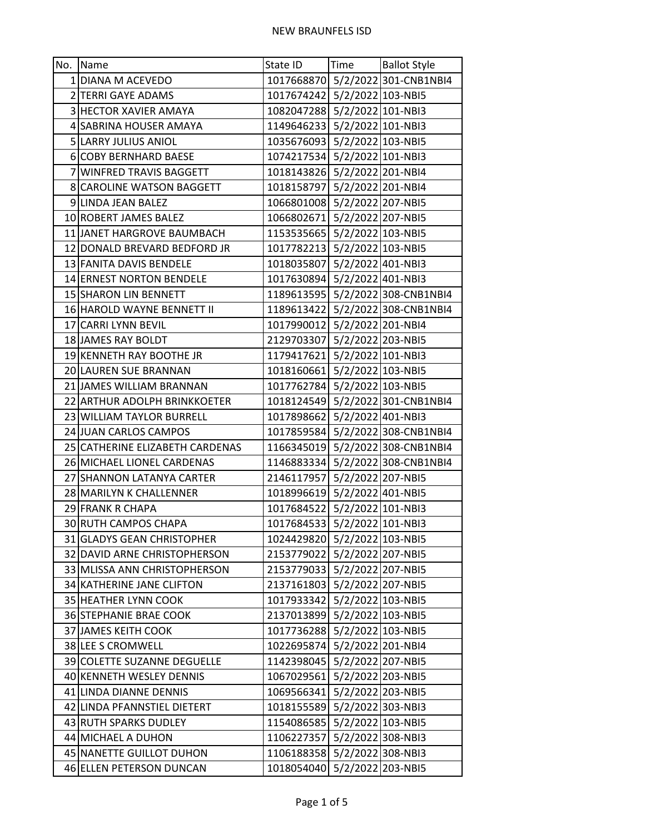| No. Name                        | State ID                     | Time | <b>Ballot Style</b>              |
|---------------------------------|------------------------------|------|----------------------------------|
| 1 DIANA M ACEVEDO               |                              |      | 1017668870 5/2/2022 301-CNB1NBI4 |
| 2 TERRI GAYE ADAMS              | 1017674242 5/2/2022 103-NBI5 |      |                                  |
| 3 HECTOR XAVIER AMAYA           | 1082047288 5/2/2022 101-NBI3 |      |                                  |
| 4 SABRINA HOUSER AMAYA          | 1149646233 5/2/2022 101-NBI3 |      |                                  |
| 5 LARRY JULIUS ANIOL            | 1035676093 5/2/2022 103-NBI5 |      |                                  |
| 6 COBY BERNHARD BAESE           | 1074217534 5/2/2022 101-NBI3 |      |                                  |
| 7 WINFRED TRAVIS BAGGETT        | 1018143826 5/2/2022 201-NBI4 |      |                                  |
| 8 CAROLINE WATSON BAGGETT       | 1018158797 5/2/2022 201-NBI4 |      |                                  |
| 9 LINDA JEAN BALEZ              | 1066801008 5/2/2022 207-NBI5 |      |                                  |
| 10 ROBERT JAMES BALEZ           | 1066802671 5/2/2022 207-NBI5 |      |                                  |
| 11 JANET HARGROVE BAUMBACH      | 1153535665 5/2/2022 103-NBI5 |      |                                  |
| 12 DONALD BREVARD BEDFORD JR    | 1017782213 5/2/2022 103-NBI5 |      |                                  |
| 13 FANITA DAVIS BENDELE         | 1018035807 5/2/2022 401-NBI3 |      |                                  |
| 14 ERNEST NORTON BENDELE        | 1017630894 5/2/2022 401-NBI3 |      |                                  |
| 15 SHARON LIN BENNETT           |                              |      | 1189613595 5/2/2022 308-CNB1NBI4 |
| 16 HAROLD WAYNE BENNETT II      |                              |      | 1189613422 5/2/2022 308-CNB1NBI4 |
| 17 CARRI LYNN BEVIL             | 1017990012 5/2/2022 201-NBI4 |      |                                  |
| 18 JAMES RAY BOLDT              | 2129703307 5/2/2022 203-NBI5 |      |                                  |
| 19 KENNETH RAY BOOTHE JR        | 1179417621 5/2/2022 101-NBI3 |      |                                  |
| 20 LAUREN SUE BRANNAN           | 1018160661 5/2/2022 103-NBI5 |      |                                  |
| 21 JAMES WILLIAM BRANNAN        | 1017762784 5/2/2022 103-NBI5 |      |                                  |
| 22 ARTHUR ADOLPH BRINKKOETER    |                              |      | 1018124549 5/2/2022 301-CNB1NBI4 |
| 23 WILLIAM TAYLOR BURRELL       | 1017898662 5/2/2022 401-NBI3 |      |                                  |
| 24 JUAN CARLOS CAMPOS           |                              |      | 1017859584 5/2/2022 308-CNB1NBI4 |
| 25 CATHERINE ELIZABETH CARDENAS |                              |      | 1166345019 5/2/2022 308-CNB1NBI4 |
| 26 MICHAEL LIONEL CARDENAS      |                              |      | 1146883334 5/2/2022 308-CNB1NBI4 |
| 27 SHANNON LATANYA CARTER       | 2146117957 5/2/2022 207-NBI5 |      |                                  |
| 28 MARILYN K CHALLENNER         | 1018996619 5/2/2022 401-NBI5 |      |                                  |
| 29 FRANK R CHAPA                | 1017684522 5/2/2022 101-NBI3 |      |                                  |
| 30 RUTH CAMPOS CHAPA            | 1017684533 5/2/2022 101-NBI3 |      |                                  |
| 31 GLADYS GEAN CHRISTOPHER      | 1024429820 5/2/2022 103-NBI5 |      |                                  |
| 32 DAVID ARNE CHRISTOPHERSON    | 2153779022 5/2/2022 207-NBI5 |      |                                  |
| 33 MLISSA ANN CHRISTOPHERSON    | 2153779033 5/2/2022 207-NBI5 |      |                                  |
| 34 KATHERINE JANE CLIFTON       | 2137161803 5/2/2022 207-NBI5 |      |                                  |
| 35 HEATHER LYNN COOK            | 1017933342 5/2/2022 103-NBI5 |      |                                  |
| 36 STEPHANIE BRAE COOK          | 2137013899 5/2/2022 103-NBI5 |      |                                  |
| 37 JAMES KEITH COOK             | 1017736288 5/2/2022 103-NBI5 |      |                                  |
| 38 LEE S CROMWELL               | 1022695874 5/2/2022 201-NBI4 |      |                                  |
| 39 COLETTE SUZANNE DEGUELLE     | 1142398045 5/2/2022 207-NBI5 |      |                                  |
| 40 KENNETH WESLEY DENNIS        | 1067029561 5/2/2022 203-NBI5 |      |                                  |
| 41 LINDA DIANNE DENNIS          | 1069566341 5/2/2022 203-NBI5 |      |                                  |
| 42 LINDA PFANNSTIEL DIETERT     | 1018155589 5/2/2022 303-NBI3 |      |                                  |
| 43 RUTH SPARKS DUDLEY           | 1154086585 5/2/2022 103-NBI5 |      |                                  |
| 44 MICHAEL A DUHON              | 1106227357 5/2/2022 308-NBI3 |      |                                  |
| 45 NANETTE GUILLOT DUHON        | 1106188358 5/2/2022 308-NBI3 |      |                                  |
| 46 ELLEN PETERSON DUNCAN        | 1018054040 5/2/2022 203-NBI5 |      |                                  |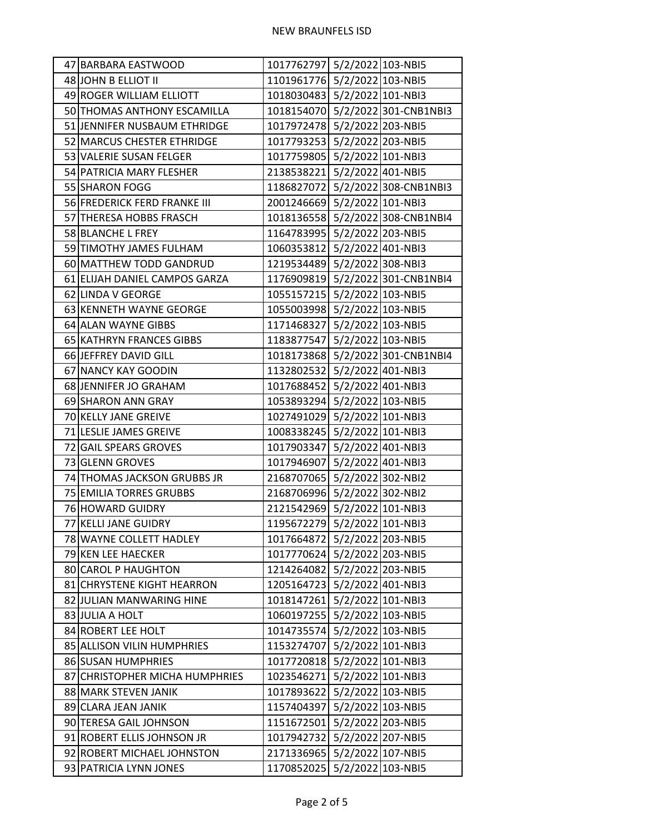| 47 BARBARA EASTWOOD            | 1017762797 5/2/2022 103-NBI5 |                                  |
|--------------------------------|------------------------------|----------------------------------|
| 48 JOHN B ELLIOT II            | 1101961776 5/2/2022 103-NBI5 |                                  |
| 49 ROGER WILLIAM ELLIOTT       | 1018030483 5/2/2022 101-NBI3 |                                  |
| 50 THOMAS ANTHONY ESCAMILLA    |                              | 1018154070 5/2/2022 301-CNB1NBI3 |
| 51 JENNIFER NUSBAUM ETHRIDGE   | 1017972478 5/2/2022 203-NBI5 |                                  |
| 52 MARCUS CHESTER ETHRIDGE     | 1017793253 5/2/2022 203-NBI5 |                                  |
| 53 VALERIE SUSAN FELGER        | 1017759805 5/2/2022 101-NBI3 |                                  |
| 54 PATRICIA MARY FLESHER       | 2138538221 5/2/2022 401-NBI5 |                                  |
| 55 SHARON FOGG                 |                              | 1186827072 5/2/2022 308-CNB1NBI3 |
| 56 FREDERICK FERD FRANKE III   | 2001246669 5/2/2022 101-NBI3 |                                  |
| 57 THERESA HOBBS FRASCH        |                              | 1018136558 5/2/2022 308-CNB1NBI4 |
| 58 BLANCHE L FREY              | 1164783995 5/2/2022 203-NBI5 |                                  |
| 59 TIMOTHY JAMES FULHAM        | 1060353812 5/2/2022 401-NBI3 |                                  |
| 60 MATTHEW TODD GANDRUD        | 1219534489 5/2/2022 308-NBI3 |                                  |
| 61 ELIJAH DANIEL CAMPOS GARZA  |                              | 1176909819 5/2/2022 301-CNB1NBI4 |
| 62 LINDA V GEORGE              | 1055157215 5/2/2022 103-NBI5 |                                  |
| 63 KENNETH WAYNE GEORGE        | 1055003998 5/2/2022 103-NBI5 |                                  |
| 64 ALAN WAYNE GIBBS            | 1171468327 5/2/2022 103-NBI5 |                                  |
| 65 KATHRYN FRANCES GIBBS       | 1183877547 5/2/2022 103-NBI5 |                                  |
| 66 JEFFREY DAVID GILL          |                              | 1018173868 5/2/2022 301-CNB1NBI4 |
| 67 NANCY KAY GOODIN            | 1132802532 5/2/2022 401-NBI3 |                                  |
| 68 JENNIFER JO GRAHAM          | 1017688452 5/2/2022 401-NBI3 |                                  |
| 69 SHARON ANN GRAY             | 1053893294 5/2/2022 103-NBI5 |                                  |
| 70 KELLY JANE GREIVE           | 1027491029 5/2/2022 101-NBI3 |                                  |
| 71 LESLIE JAMES GREIVE         | 1008338245 5/2/2022 101-NBI3 |                                  |
| 72 GAIL SPEARS GROVES          | 1017903347 5/2/2022 401-NBI3 |                                  |
| 73 GLENN GROVES                | 1017946907 5/2/2022 401-NBI3 |                                  |
| 74 THOMAS JACKSON GRUBBS JR    | 2168707065 5/2/2022 302-NBI2 |                                  |
| 75 EMILIA TORRES GRUBBS        | 2168706996 5/2/2022 302-NBI2 |                                  |
| 76 HOWARD GUIDRY               | 2121542969 5/2/2022 101-NBI3 |                                  |
| 77 KELLI JANE GUIDRY           | 1195672279 5/2/2022 101-NBI3 |                                  |
| 78 WAYNE COLLETT HADLEY        | 1017664872 5/2/2022 203-NBI5 |                                  |
| 79 KEN LEE HAECKER             | 1017770624 5/2/2022 203-NBI5 |                                  |
| 80 CAROL P HAUGHTON            | 1214264082 5/2/2022 203-NBI5 |                                  |
| 81 CHRYSTENE KIGHT HEARRON     | 1205164723 5/2/2022 401-NBI3 |                                  |
| 82 JULIAN MANWARING HINE       | 1018147261 5/2/2022 101-NBI3 |                                  |
| 83 JULIA A HOLT                | 1060197255 5/2/2022 103-NBI5 |                                  |
| 84 ROBERT LEE HOLT             | 1014735574 5/2/2022 103-NBI5 |                                  |
| 85 ALLISON VILIN HUMPHRIES     | 1153274707 5/2/2022 101-NBI3 |                                  |
| 86 SUSAN HUMPHRIES             | 1017720818 5/2/2022 101-NBI3 |                                  |
| 87 CHRISTOPHER MICHA HUMPHRIES | 1023546271 5/2/2022 101-NBI3 |                                  |
| 88 MARK STEVEN JANIK           | 1017893622 5/2/2022 103-NBI5 |                                  |
| 89 CLARA JEAN JANIK            | 1157404397 5/2/2022 103-NBI5 |                                  |
| 90 TERESA GAIL JOHNSON         | 1151672501 5/2/2022 203-NBI5 |                                  |
| 91 ROBERT ELLIS JOHNSON JR     | 1017942732 5/2/2022 207-NBI5 |                                  |
| 92 ROBERT MICHAEL JOHNSTON     | 2171336965 5/2/2022 107-NBI5 |                                  |
| 93 PATRICIA LYNN JONES         | 1170852025 5/2/2022 103-NBI5 |                                  |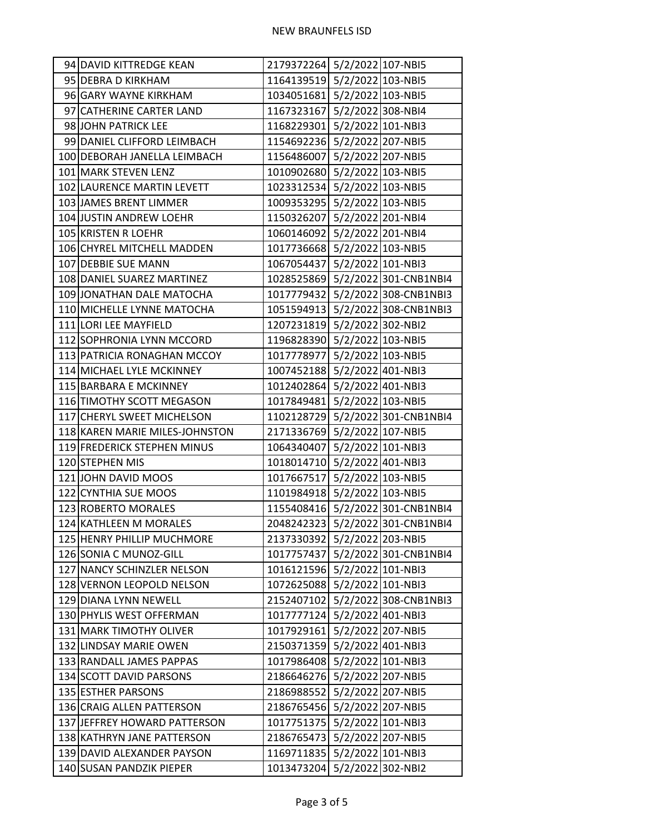| 94 DAVID KITTREDGE KEAN        | 2179372264 5/2/2022 107-NBI5 |                                  |
|--------------------------------|------------------------------|----------------------------------|
| 95 DEBRA D KIRKHAM             | 1164139519 5/2/2022 103-NBI5 |                                  |
| 96 GARY WAYNE KIRKHAM          | 1034051681 5/2/2022 103-NBI5 |                                  |
| 97 CATHERINE CARTER LAND       | 1167323167 5/2/2022 308-NBI4 |                                  |
| 98 JOHN PATRICK LEE            | 1168229301 5/2/2022 101-NBI3 |                                  |
| 99 DANIEL CLIFFORD LEIMBACH    | 1154692236 5/2/2022 207-NBI5 |                                  |
| 100 DEBORAH JANELLA LEIMBACH   | 1156486007 5/2/2022 207-NBI5 |                                  |
| 101 MARK STEVEN LENZ           | 1010902680 5/2/2022 103-NBI5 |                                  |
| 102 LAURENCE MARTIN LEVETT     | 1023312534 5/2/2022 103-NBI5 |                                  |
| 103 JAMES BRENT LIMMER         | 1009353295 5/2/2022 103-NBI5 |                                  |
| 104 JUSTIN ANDREW LOEHR        | 1150326207 5/2/2022 201-NBI4 |                                  |
| 105 KRISTEN R LOEHR            | 1060146092 5/2/2022 201-NBI4 |                                  |
| 106 CHYREL MITCHELL MADDEN     | 1017736668 5/2/2022 103-NBI5 |                                  |
| 107 DEBBIE SUE MANN            | 1067054437 5/2/2022 101-NBI3 |                                  |
| 108 DANIEL SUAREZ MARTINEZ     |                              | 1028525869 5/2/2022 301-CNB1NBI4 |
| 109 JONATHAN DALE MATOCHA      |                              | 1017779432 5/2/2022 308-CNB1NBI3 |
| 110 MICHELLE LYNNE MATOCHA     |                              | 1051594913 5/2/2022 308-CNB1NBI3 |
| 111 LORI LEE MAYFIELD          | 1207231819 5/2/2022 302-NBI2 |                                  |
| 112 SOPHRONIA LYNN MCCORD      | 1196828390 5/2/2022 103-NBI5 |                                  |
| 113 PATRICIA RONAGHAN MCCOY    | 1017778977 5/2/2022 103-NBI5 |                                  |
| 114 MICHAEL LYLE MCKINNEY      | 1007452188 5/2/2022 401-NBI3 |                                  |
| 115 BARBARA E MCKINNEY         | 1012402864 5/2/2022 401-NBI3 |                                  |
| 116 TIMOTHY SCOTT MEGASON      | 1017849481 5/2/2022 103-NBI5 |                                  |
| 117 CHERYL SWEET MICHELSON     |                              | 1102128729 5/2/2022 301-CNB1NBI4 |
| 118 KAREN MARIE MILES-JOHNSTON | 2171336769 5/2/2022 107-NBI5 |                                  |
| 119 FREDERICK STEPHEN MINUS    | 1064340407 5/2/2022 101-NBI3 |                                  |
| 120 STEPHEN MIS                | 1018014710 5/2/2022 401-NBI3 |                                  |
| 121 JOHN DAVID MOOS            | 1017667517 5/2/2022 103-NBI5 |                                  |
| 122 CYNTHIA SUE MOOS           | 1101984918 5/2/2022 103-NBI5 |                                  |
| 123 ROBERTO MORALES            |                              | 1155408416 5/2/2022 301-CNB1NBI4 |
| 124 KATHLEEN M MORALES         |                              | 2048242323 5/2/2022 301-CNB1NBI4 |
| 125 HENRY PHILLIP MUCHMORE     | 2137330392 5/2/2022 203-NBI5 |                                  |
| 126 SONIA C MUNOZ-GILL         |                              | 1017757437 5/2/2022 301-CNB1NBI4 |
| 127 NANCY SCHINZLER NELSON     | 1016121596 5/2/2022 101-NBI3 |                                  |
| 128 VERNON LEOPOLD NELSON      | 1072625088 5/2/2022 101-NBI3 |                                  |
| 129 DIANA LYNN NEWELL          |                              | 2152407102 5/2/2022 308-CNB1NBI3 |
| 130 PHYLIS WEST OFFERMAN       | 1017777124 5/2/2022 401-NBI3 |                                  |
| 131 MARK TIMOTHY OLIVER        | 1017929161 5/2/2022 207-NBI5 |                                  |
| 132 LINDSAY MARIE OWEN         | 2150371359 5/2/2022 401-NBI3 |                                  |
| 133 RANDALL JAMES PAPPAS       | 1017986408 5/2/2022 101-NBI3 |                                  |
| 134 SCOTT DAVID PARSONS        | 2186646276 5/2/2022 207-NBI5 |                                  |
| 135 ESTHER PARSONS             | 2186988552 5/2/2022 207-NBI5 |                                  |
| 136 CRAIG ALLEN PATTERSON      | 2186765456 5/2/2022 207-NBI5 |                                  |
| 137 JEFFREY HOWARD PATTERSON   | 1017751375 5/2/2022 101-NBI3 |                                  |
| 138 KATHRYN JANE PATTERSON     | 2186765473 5/2/2022 207-NBI5 |                                  |
| 139 DAVID ALEXANDER PAYSON     | 1169711835 5/2/2022 101-NBI3 |                                  |
| 140 SUSAN PANDZIK PIEPER       | 1013473204 5/2/2022 302-NBI2 |                                  |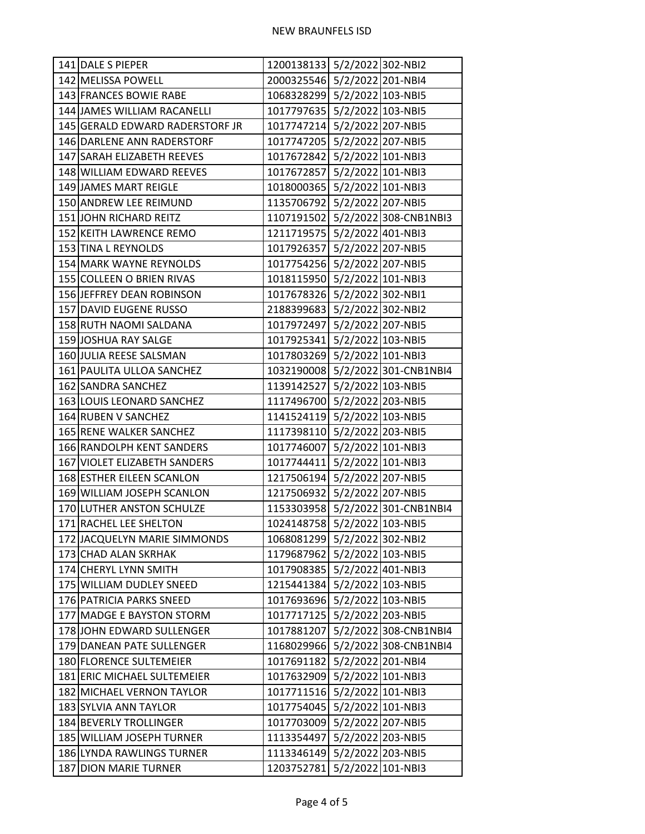| 141 DALE S PIEPER               | 1200138133 5/2/2022 302-NBI2     |
|---------------------------------|----------------------------------|
| 142 MELISSA POWELL              | 2000325546 5/2/2022 201-NBI4     |
| 143 FRANCES BOWIE RABE          | 1068328299 5/2/2022 103-NBI5     |
| 144 JAMES WILLIAM RACANELLI     | 1017797635 5/2/2022 103-NBI5     |
| 145 GERALD EDWARD RADERSTORF JR | 1017747214 5/2/2022 207-NBI5     |
| 146 DARLENE ANN RADERSTORF      | 1017747205 5/2/2022 207-NBI5     |
| 147 SARAH ELIZABETH REEVES      | 1017672842 5/2/2022 101-NBI3     |
| 148 WILLIAM EDWARD REEVES       | 1017672857 5/2/2022 101-NBI3     |
| 149 JAMES MART REIGLE           | 1018000365 5/2/2022 101-NBI3     |
| 150 ANDREW LEE REIMUND          | 1135706792 5/2/2022 207-NBI5     |
| 151 JOHN RICHARD REITZ          | 1107191502 5/2/2022 308-CNB1NBI3 |
| 152 KEITH LAWRENCE REMO         | 1211719575 5/2/2022 401-NBI3     |
| 153 TINA L REYNOLDS             | 1017926357 5/2/2022 207-NBI5     |
| 154 MARK WAYNE REYNOLDS         | 1017754256 5/2/2022 207-NBI5     |
| 155 COLLEEN O BRIEN RIVAS       | 1018115950 5/2/2022 101-NBI3     |
| 156 JEFFREY DEAN ROBINSON       | 1017678326 5/2/2022 302-NBI1     |
| 157 DAVID EUGENE RUSSO          | 2188399683 5/2/2022 302-NBI2     |
| 158 RUTH NAOMI SALDANA          | 1017972497 5/2/2022 207-NBI5     |
| 159 JOSHUA RAY SALGE            | 1017925341 5/2/2022 103-NBI5     |
| 160 JULIA REESE SALSMAN         | 1017803269 5/2/2022 101-NBI3     |
| 161 PAULITA ULLOA SANCHEZ       | 1032190008 5/2/2022 301-CNB1NBI4 |
| 162 SANDRA SANCHEZ              | 1139142527 5/2/2022 103-NBI5     |
| 163 LOUIS LEONARD SANCHEZ       | 1117496700 5/2/2022 203-NBI5     |
| 164 RUBEN V SANCHEZ             | 1141524119 5/2/2022 103-NBI5     |
| 165 RENE WALKER SANCHEZ         | 1117398110 5/2/2022 203-NBI5     |
| 166 RANDOLPH KENT SANDERS       | 1017746007 5/2/2022 101-NBI3     |
| 167 VIOLET ELIZABETH SANDERS    | 1017744411 5/2/2022 101-NBI3     |
| 168 ESTHER EILEEN SCANLON       | 1217506194 5/2/2022 207-NBI5     |
| 169 WILLIAM JOSEPH SCANLON      | 1217506932 5/2/2022 207-NBI5     |
| 170 LUTHER ANSTON SCHULZE       | 1153303958 5/2/2022 301-CNB1NBI4 |
| 171 RACHEL LEE SHELTON          | 1024148758 5/2/2022 103-NBI5     |
| 172 JACQUELYN MARIE SIMMONDS    | 1068081299 5/2/2022 302-NBI2     |
| 173 CHAD ALAN SKRHAK            | 1179687962 5/2/2022 103-NBI5     |
| 174 CHERYL LYNN SMITH           | 1017908385 5/2/2022 401-NBI3     |
| 175 WILLIAM DUDLEY SNEED        | 1215441384 5/2/2022 103-NBI5     |
| 176 PATRICIA PARKS SNEED        | 1017693696 5/2/2022 103-NBI5     |
| 177 MADGE E BAYSTON STORM       | 1017717125 5/2/2022 203-NBI5     |
| 178 JOHN EDWARD SULLENGER       | 1017881207 5/2/2022 308-CNB1NBI4 |
| 179 DANEAN PATE SULLENGER       | 1168029966 5/2/2022 308-CNB1NBI4 |
| 180 FLORENCE SULTEMEIER         | 1017691182 5/2/2022 201-NBI4     |
| 181 ERIC MICHAEL SULTEMEIER     | 1017632909 5/2/2022 101-NBI3     |
| 182 MICHAEL VERNON TAYLOR       | 1017711516 5/2/2022 101-NBI3     |
| 183 SYLVIA ANN TAYLOR           | 1017754045 5/2/2022 101-NBI3     |
| 184 BEVERLY TROLLINGER          | 1017703009 5/2/2022 207-NBI5     |
| 185 WILLIAM JOSEPH TURNER       | 1113354497 5/2/2022 203-NBI5     |
| 186 LYNDA RAWLINGS TURNER       | 1113346149 5/2/2022 203-NBI5     |
| 187 DION MARIE TURNER           | 1203752781 5/2/2022 101-NBI3     |